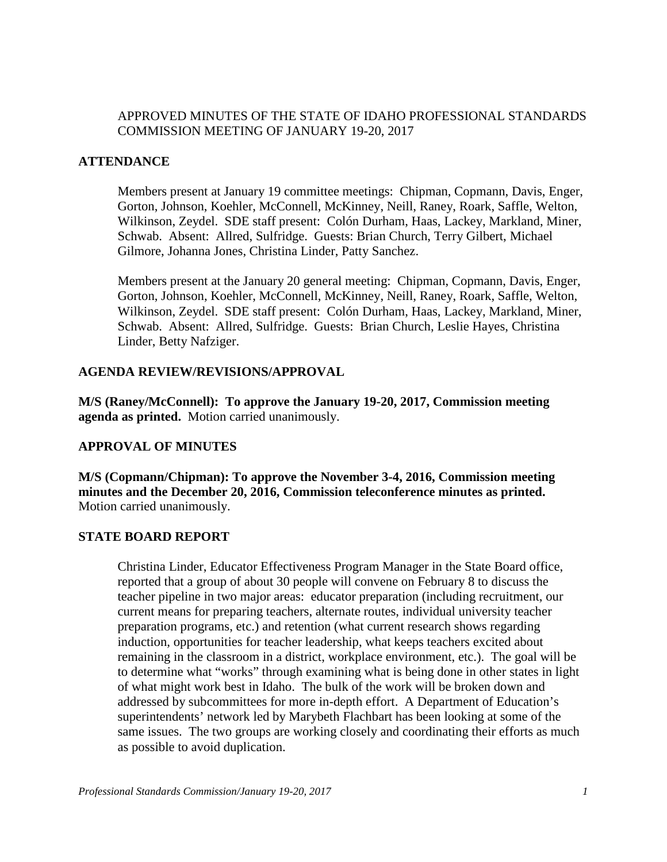## APPROVED MINUTES OF THE STATE OF IDAHO PROFESSIONAL STANDARDS COMMISSION MEETING OF JANUARY 19-20, 2017

### **ATTENDANCE**

Members present at January 19 committee meetings: Chipman, Copmann, Davis, Enger, Gorton, Johnson, Koehler, McConnell, McKinney, Neill, Raney, Roark, Saffle, Welton, Wilkinson, Zeydel. SDE staff present: Colón Durham, Haas, Lackey, Markland, Miner, Schwab. Absent: Allred, Sulfridge. Guests: Brian Church, Terry Gilbert, Michael Gilmore, Johanna Jones, Christina Linder, Patty Sanchez.

Members present at the January 20 general meeting: Chipman, Copmann, Davis, Enger, Gorton, Johnson, Koehler, McConnell, McKinney, Neill, Raney, Roark, Saffle, Welton, Wilkinson, Zeydel. SDE staff present: Colón Durham, Haas, Lackey, Markland, Miner, Schwab. Absent: Allred, Sulfridge. Guests: Brian Church, Leslie Hayes, Christina Linder, Betty Nafziger.

### **AGENDA REVIEW/REVISIONS/APPROVAL**

**M/S (Raney/McConnell): To approve the January 19-20, 2017, Commission meeting agenda as printed.** Motion carried unanimously.

## **APPROVAL OF MINUTES**

**M/S (Copmann/Chipman): To approve the November 3-4, 2016, Commission meeting minutes and the December 20, 2016, Commission teleconference minutes as printed.**  Motion carried unanimously.

#### **STATE BOARD REPORT**

Christina Linder, Educator Effectiveness Program Manager in the State Board office, reported that a group of about 30 people will convene on February 8 to discuss the teacher pipeline in two major areas: educator preparation (including recruitment, our current means for preparing teachers, alternate routes, individual university teacher preparation programs, etc.) and retention (what current research shows regarding induction, opportunities for teacher leadership, what keeps teachers excited about remaining in the classroom in a district, workplace environment, etc.). The goal will be to determine what "works" through examining what is being done in other states in light of what might work best in Idaho. The bulk of the work will be broken down and addressed by subcommittees for more in-depth effort. A Department of Education's superintendents' network led by Marybeth Flachbart has been looking at some of the same issues. The two groups are working closely and coordinating their efforts as much as possible to avoid duplication.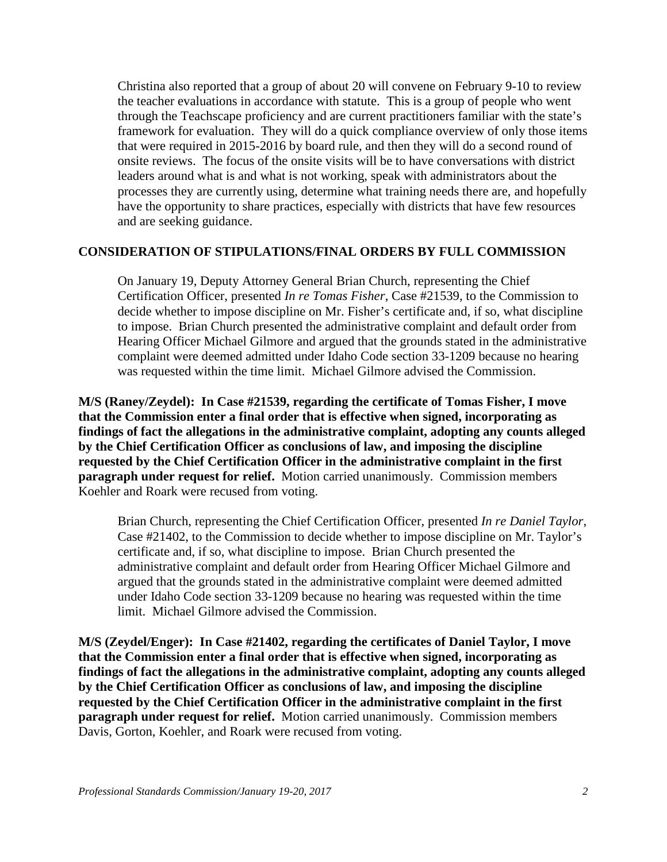Christina also reported that a group of about 20 will convene on February 9-10 to review the teacher evaluations in accordance with statute. This is a group of people who went through the Teachscape proficiency and are current practitioners familiar with the state's framework for evaluation. They will do a quick compliance overview of only those items that were required in 2015-2016 by board rule, and then they will do a second round of onsite reviews. The focus of the onsite visits will be to have conversations with district leaders around what is and what is not working, speak with administrators about the processes they are currently using, determine what training needs there are, and hopefully have the opportunity to share practices, especially with districts that have few resources and are seeking guidance.

#### **CONSIDERATION OF STIPULATIONS/FINAL ORDERS BY FULL COMMISSION**

On January 19, Deputy Attorney General Brian Church, representing the Chief Certification Officer, presented *In re Tomas Fisher*, Case #21539, to the Commission to decide whether to impose discipline on Mr. Fisher's certificate and, if so, what discipline to impose. Brian Church presented the administrative complaint and default order from Hearing Officer Michael Gilmore and argued that the grounds stated in the administrative complaint were deemed admitted under Idaho Code section 33-1209 because no hearing was requested within the time limit. Michael Gilmore advised the Commission.

**M/S (Raney/Zeydel): In Case #21539, regarding the certificate of Tomas Fisher, I move that the Commission enter a final order that is effective when signed, incorporating as findings of fact the allegations in the administrative complaint, adopting any counts alleged by the Chief Certification Officer as conclusions of law, and imposing the discipline requested by the Chief Certification Officer in the administrative complaint in the first paragraph under request for relief.** Motion carried unanimously. Commission members Koehler and Roark were recused from voting.

Brian Church, representing the Chief Certification Officer, presented *In re Daniel Taylor*, Case #21402, to the Commission to decide whether to impose discipline on Mr. Taylor's certificate and, if so, what discipline to impose. Brian Church presented the administrative complaint and default order from Hearing Officer Michael Gilmore and argued that the grounds stated in the administrative complaint were deemed admitted under Idaho Code section 33-1209 because no hearing was requested within the time limit. Michael Gilmore advised the Commission.

**M/S (Zeydel/Enger): In Case #21402, regarding the certificates of Daniel Taylor, I move that the Commission enter a final order that is effective when signed, incorporating as findings of fact the allegations in the administrative complaint, adopting any counts alleged by the Chief Certification Officer as conclusions of law, and imposing the discipline requested by the Chief Certification Officer in the administrative complaint in the first paragraph under request for relief.** Motion carried unanimously. Commission members Davis, Gorton, Koehler, and Roark were recused from voting.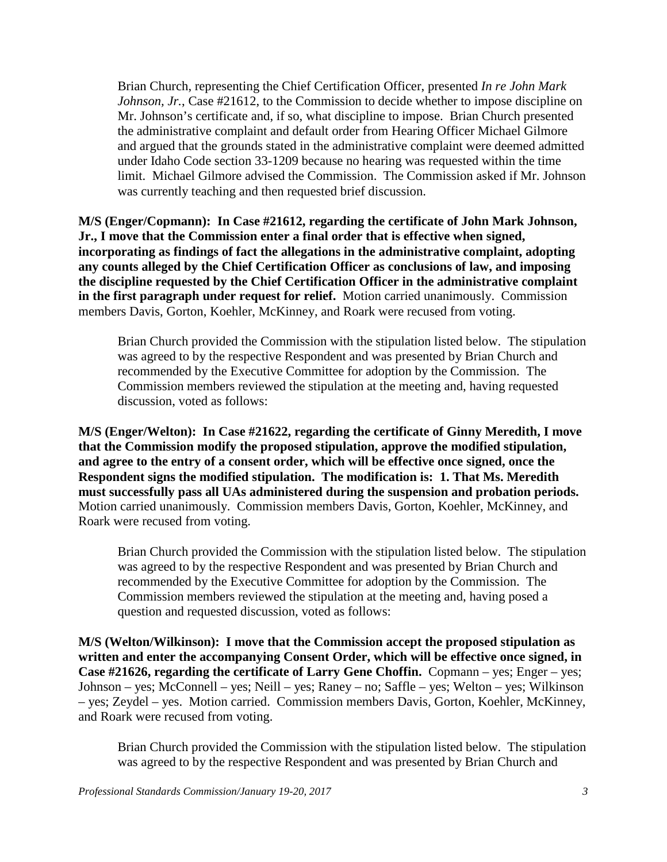Brian Church, representing the Chief Certification Officer, presented *In re John Mark Johnson, Jr.*, Case #21612, to the Commission to decide whether to impose discipline on Mr. Johnson's certificate and, if so, what discipline to impose. Brian Church presented the administrative complaint and default order from Hearing Officer Michael Gilmore and argued that the grounds stated in the administrative complaint were deemed admitted under Idaho Code section 33-1209 because no hearing was requested within the time limit. Michael Gilmore advised the Commission. The Commission asked if Mr. Johnson was currently teaching and then requested brief discussion.

**M/S (Enger/Copmann): In Case #21612, regarding the certificate of John Mark Johnson, Jr., I move that the Commission enter a final order that is effective when signed, incorporating as findings of fact the allegations in the administrative complaint, adopting any counts alleged by the Chief Certification Officer as conclusions of law, and imposing the discipline requested by the Chief Certification Officer in the administrative complaint in the first paragraph under request for relief.** Motion carried unanimously. Commission members Davis, Gorton, Koehler, McKinney, and Roark were recused from voting.

Brian Church provided the Commission with the stipulation listed below. The stipulation was agreed to by the respective Respondent and was presented by Brian Church and recommended by the Executive Committee for adoption by the Commission. The Commission members reviewed the stipulation at the meeting and, having requested discussion, voted as follows:

**M/S (Enger/Welton): In Case #21622, regarding the certificate of Ginny Meredith, I move that the Commission modify the proposed stipulation, approve the modified stipulation, and agree to the entry of a consent order, which will be effective once signed, once the Respondent signs the modified stipulation. The modification is: 1. That Ms. Meredith must successfully pass all UAs administered during the suspension and probation periods.**  Motion carried unanimously. Commission members Davis, Gorton, Koehler, McKinney, and Roark were recused from voting.

Brian Church provided the Commission with the stipulation listed below. The stipulation was agreed to by the respective Respondent and was presented by Brian Church and recommended by the Executive Committee for adoption by the Commission. The Commission members reviewed the stipulation at the meeting and, having posed a question and requested discussion, voted as follows:

**M/S (Welton/Wilkinson): I move that the Commission accept the proposed stipulation as written and enter the accompanying Consent Order, which will be effective once signed, in Case #21626, regarding the certificate of Larry Gene Choffin.** Copmann – yes; Enger – yes; Johnson – yes; McConnell – yes; Neill – yes; Raney – no; Saffle – yes; Welton – yes; Wilkinson – yes; Zeydel – yes. Motion carried. Commission members Davis, Gorton, Koehler, McKinney, and Roark were recused from voting.

Brian Church provided the Commission with the stipulation listed below. The stipulation was agreed to by the respective Respondent and was presented by Brian Church and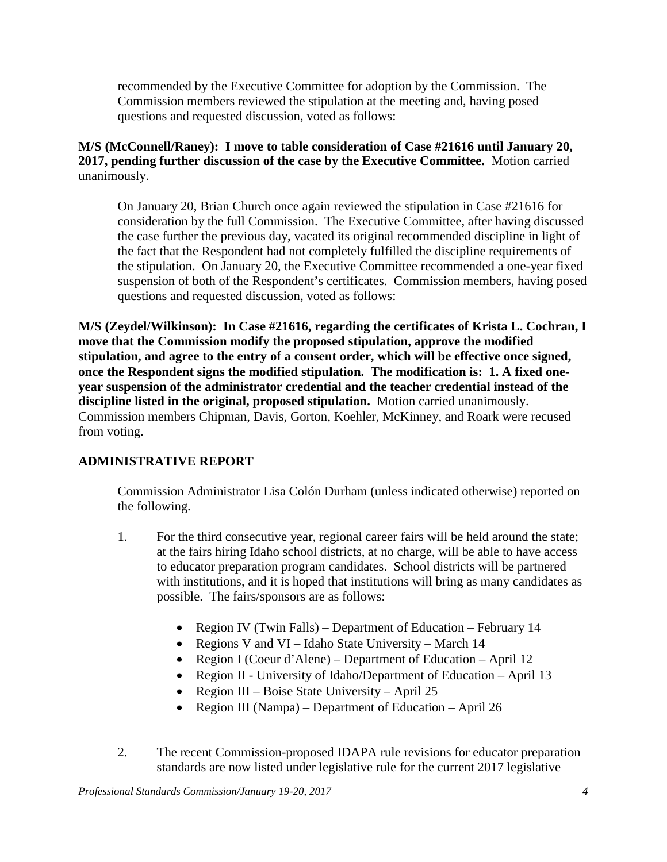recommended by the Executive Committee for adoption by the Commission. The Commission members reviewed the stipulation at the meeting and, having posed questions and requested discussion, voted as follows:

## **M/S (McConnell/Raney): I move to table consideration of Case #21616 until January 20, 2017, pending further discussion of the case by the Executive Committee.** Motion carried unanimously.

On January 20, Brian Church once again reviewed the stipulation in Case #21616 for consideration by the full Commission. The Executive Committee, after having discussed the case further the previous day, vacated its original recommended discipline in light of the fact that the Respondent had not completely fulfilled the discipline requirements of the stipulation. On January 20, the Executive Committee recommended a one-year fixed suspension of both of the Respondent's certificates. Commission members, having posed questions and requested discussion, voted as follows:

**M/S (Zeydel/Wilkinson): In Case #21616, regarding the certificates of Krista L. Cochran, I move that the Commission modify the proposed stipulation, approve the modified stipulation, and agree to the entry of a consent order, which will be effective once signed, once the Respondent signs the modified stipulation. The modification is: 1. A fixed oneyear suspension of the administrator credential and the teacher credential instead of the discipline listed in the original, proposed stipulation.** Motion carried unanimously. Commission members Chipman, Davis, Gorton, Koehler, McKinney, and Roark were recused from voting.

## **ADMINISTRATIVE REPORT**

Commission Administrator Lisa Colón Durham (unless indicated otherwise) reported on the following.

- 1. For the third consecutive year, regional career fairs will be held around the state; at the fairs hiring Idaho school districts, at no charge, will be able to have access to educator preparation program candidates. School districts will be partnered with institutions, and it is hoped that institutions will bring as many candidates as possible. The fairs/sponsors are as follows:
	- Region IV (Twin Falls) Department of Education February 14
	- Regions V and VI Idaho State University March 14
	- Region I (Coeur d'Alene) Department of Education April 12
	- Region II University of Idaho/Department of Education April 13
	- Region III Boise State University April 25
	- Region III (Nampa) Department of Education April 26
- 2. The recent Commission-proposed IDAPA rule revisions for educator preparation standards are now listed under legislative rule for the current 2017 legislative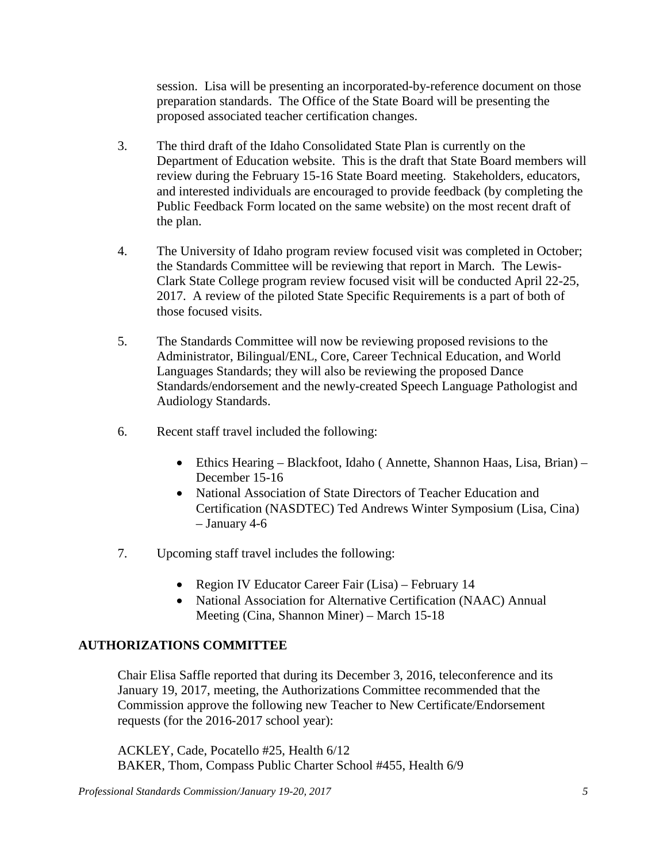session. Lisa will be presenting an incorporated-by-reference document on those preparation standards. The Office of the State Board will be presenting the proposed associated teacher certification changes.

- 3. The third draft of the Idaho Consolidated State Plan is currently on the Department of Education website. This is the draft that State Board members will review during the February 15-16 State Board meeting. Stakeholders, educators, and interested individuals are encouraged to provide feedback (by completing the Public Feedback Form located on the same website) on the most recent draft of the plan.
- 4. The University of Idaho program review focused visit was completed in October; the Standards Committee will be reviewing that report in March. The Lewis-Clark State College program review focused visit will be conducted April 22-25, 2017. A review of the piloted State Specific Requirements is a part of both of those focused visits.
- 5. The Standards Committee will now be reviewing proposed revisions to the Administrator, Bilingual/ENL, Core, Career Technical Education, and World Languages Standards; they will also be reviewing the proposed Dance Standards/endorsement and the newly-created Speech Language Pathologist and Audiology Standards.
- 6. Recent staff travel included the following:
	- Ethics Hearing Blackfoot, Idaho (Annette, Shannon Haas, Lisa, Brian) December 15-16
	- National Association of State Directors of Teacher Education and Certification (NASDTEC) Ted Andrews Winter Symposium (Lisa, Cina) – January 4-6
- 7. Upcoming staff travel includes the following:
	- Region IV Educator Career Fair (Lisa) February 14
	- National Association for Alternative Certification (NAAC) Annual Meeting (Cina, Shannon Miner) – March 15-18

## **AUTHORIZATIONS COMMITTEE**

Chair Elisa Saffle reported that during its December 3, 2016, teleconference and its January 19, 2017, meeting, the Authorizations Committee recommended that the Commission approve the following new Teacher to New Certificate/Endorsement requests (for the 2016-2017 school year):

ACKLEY, Cade, Pocatello #25, Health 6/12 BAKER, Thom, Compass Public Charter School #455, Health 6/9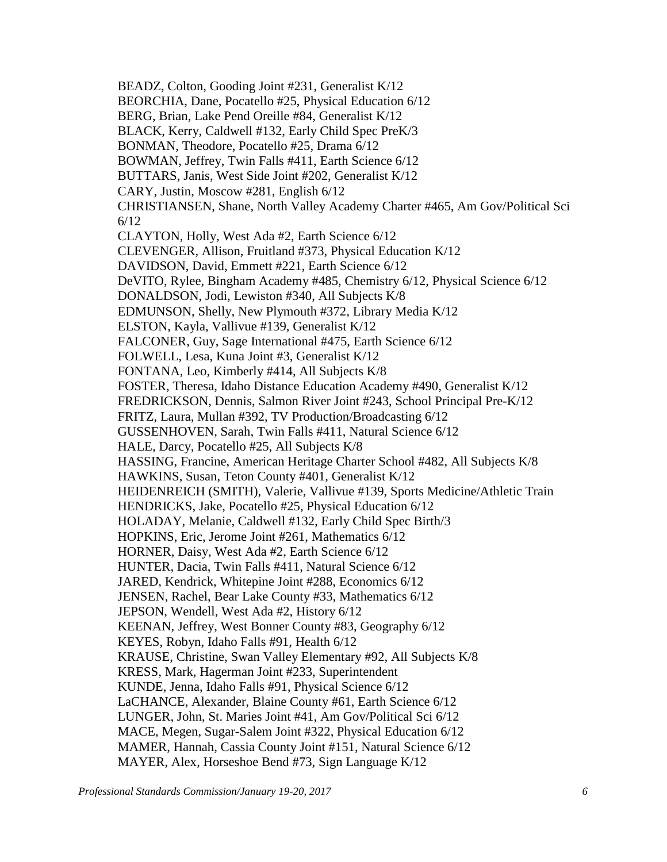BEADZ, Colton, Gooding Joint #231, Generalist K/12 BEORCHIA, Dane, Pocatello #25, Physical Education 6/12 BERG, Brian, Lake Pend Oreille #84, Generalist K/12 BLACK, Kerry, Caldwell #132, Early Child Spec PreK/3 BONMAN, Theodore, Pocatello #25, Drama 6/12 BOWMAN, Jeffrey, Twin Falls #411, Earth Science 6/12 BUTTARS, Janis, West Side Joint #202, Generalist K/12 CARY, Justin, Moscow #281, English 6/12 CHRISTIANSEN, Shane, North Valley Academy Charter #465, Am Gov/Political Sci 6/12 CLAYTON, Holly, West Ada #2, Earth Science 6/12 CLEVENGER, Allison, Fruitland #373, Physical Education K/12 DAVIDSON, David, Emmett #221, Earth Science 6/12 DeVITO, Rylee, Bingham Academy #485, Chemistry 6/12, Physical Science 6/12 DONALDSON, Jodi, Lewiston #340, All Subjects K/8 EDMUNSON, Shelly, New Plymouth #372, Library Media K/12 ELSTON, Kayla, Vallivue #139, Generalist K/12 FALCONER, Guy, Sage International #475, Earth Science 6/12 FOLWELL, Lesa, Kuna Joint #3, Generalist K/12 FONTANA, Leo, Kimberly #414, All Subjects K/8 FOSTER, Theresa, Idaho Distance Education Academy #490, Generalist K/12 FREDRICKSON, Dennis, Salmon River Joint #243, School Principal Pre-K/12 FRITZ, Laura, Mullan #392, TV Production/Broadcasting 6/12 GUSSENHOVEN, Sarah, Twin Falls #411, Natural Science 6/12 HALE, Darcy, Pocatello #25, All Subjects K/8 HASSING, Francine, American Heritage Charter School #482, All Subjects K/8 HAWKINS, Susan, Teton County #401, Generalist K/12 HEIDENREICH (SMITH), Valerie, Vallivue #139, Sports Medicine/Athletic Train HENDRICKS, Jake, Pocatello #25, Physical Education 6/12 HOLADAY, Melanie, Caldwell #132, Early Child Spec Birth/3 HOPKINS, Eric, Jerome Joint #261, Mathematics 6/12 HORNER, Daisy, West Ada #2, Earth Science 6/12 HUNTER, Dacia, Twin Falls #411, Natural Science 6/12 JARED, Kendrick, Whitepine Joint #288, Economics 6/12 JENSEN, Rachel, Bear Lake County #33, Mathematics 6/12 JEPSON, Wendell, West Ada #2, History 6/12 KEENAN, Jeffrey, West Bonner County #83, Geography 6/12 KEYES, Robyn, Idaho Falls #91, Health 6/12 KRAUSE, Christine, Swan Valley Elementary #92, All Subjects K/8 KRESS, Mark, Hagerman Joint #233, Superintendent KUNDE, Jenna, Idaho Falls #91, Physical Science 6/12 LaCHANCE, Alexander, Blaine County #61, Earth Science 6/12 LUNGER, John, St. Maries Joint #41, Am Gov/Political Sci 6/12 MACE, Megen, Sugar-Salem Joint #322, Physical Education 6/12 MAMER, Hannah, Cassia County Joint #151, Natural Science 6/12 MAYER, Alex, Horseshoe Bend #73, Sign Language K/12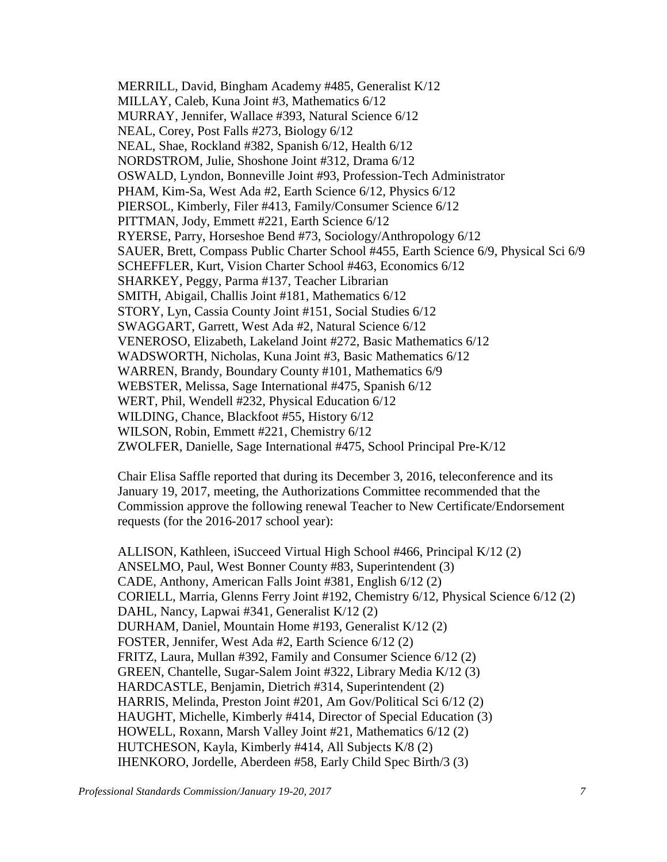MERRILL, David, Bingham Academy #485, Generalist K/12 MILLAY, Caleb, Kuna Joint #3, Mathematics 6/12 MURRAY, Jennifer, Wallace #393, Natural Science 6/12 NEAL, Corey, Post Falls #273, Biology 6/12 NEAL, Shae, Rockland #382, Spanish 6/12, Health 6/12 NORDSTROM, Julie, Shoshone Joint #312, Drama 6/12 OSWALD, Lyndon, Bonneville Joint #93, Profession-Tech Administrator PHAM, Kim-Sa, West Ada #2, Earth Science 6/12, Physics 6/12 PIERSOL, Kimberly, Filer #413, Family/Consumer Science 6/12 PITTMAN, Jody, Emmett #221, Earth Science 6/12 RYERSE, Parry, Horseshoe Bend #73, Sociology/Anthropology 6/12 SAUER, Brett, Compass Public Charter School #455, Earth Science 6/9, Physical Sci 6/9 SCHEFFLER, Kurt, Vision Charter School #463, Economics 6/12 SHARKEY, Peggy, Parma #137, Teacher Librarian SMITH, Abigail, Challis Joint #181, Mathematics 6/12 STORY, Lyn, Cassia County Joint #151, Social Studies 6/12 SWAGGART, Garrett, West Ada #2, Natural Science 6/12 VENEROSO, Elizabeth, Lakeland Joint #272, Basic Mathematics 6/12 WADSWORTH, Nicholas, Kuna Joint #3, Basic Mathematics 6/12 WARREN, Brandy, Boundary County #101, Mathematics 6/9 WEBSTER, Melissa, Sage International #475, Spanish 6/12 WERT, Phil, Wendell #232, Physical Education 6/12 WILDING, Chance, Blackfoot #55, History 6/12 WILSON, Robin, Emmett #221, Chemistry 6/12 ZWOLFER, Danielle, Sage International #475, School Principal Pre-K/12

Chair Elisa Saffle reported that during its December 3, 2016, teleconference and its January 19, 2017, meeting, the Authorizations Committee recommended that the Commission approve the following renewal Teacher to New Certificate/Endorsement requests (for the 2016-2017 school year):

ALLISON, Kathleen, iSucceed Virtual High School #466, Principal K/12 (2) ANSELMO, Paul, West Bonner County #83, Superintendent (3) CADE, Anthony, American Falls Joint #381, English 6/12 (2) CORIELL, Marria, Glenns Ferry Joint #192, Chemistry 6/12, Physical Science 6/12 (2) DAHL, Nancy, Lapwai #341, Generalist K/12 (2) DURHAM, Daniel, Mountain Home #193, Generalist K/12 (2) FOSTER, Jennifer, West Ada #2, Earth Science 6/12 (2) FRITZ, Laura, Mullan #392, Family and Consumer Science 6/12 (2) GREEN, Chantelle, Sugar-Salem Joint #322, Library Media K/12 (3) HARDCASTLE, Benjamin, Dietrich #314, Superintendent (2) HARRIS, Melinda, Preston Joint #201, Am Gov/Political Sci 6/12 (2) HAUGHT, Michelle, Kimberly #414, Director of Special Education (3) HOWELL, Roxann, Marsh Valley Joint #21, Mathematics 6/12 (2) HUTCHESON, Kayla, Kimberly #414, All Subjects K/8 (2) IHENKORO, Jordelle, Aberdeen #58, Early Child Spec Birth/3 (3)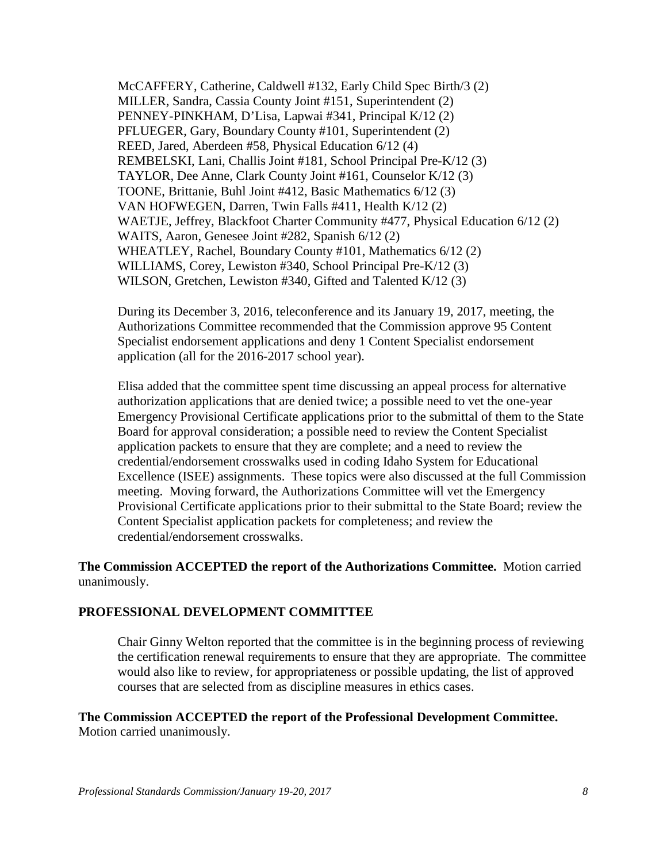McCAFFERY, Catherine, Caldwell #132, Early Child Spec Birth/3 (2) MILLER, Sandra, Cassia County Joint #151, Superintendent (2) PENNEY-PINKHAM, D'Lisa, Lapwai #341, Principal K/12 (2) PFLUEGER, Gary, Boundary County #101, Superintendent (2) REED, Jared, Aberdeen #58, Physical Education 6/12 (4) REMBELSKI, Lani, Challis Joint #181, School Principal Pre-K/12 (3) TAYLOR, Dee Anne, Clark County Joint #161, Counselor K/12 (3) TOONE, Brittanie, Buhl Joint #412, Basic Mathematics 6/12 (3) VAN HOFWEGEN, Darren, Twin Falls #411, Health K/12 (2) WAETJE, Jeffrey, Blackfoot Charter Community #477, Physical Education 6/12 (2) WAITS, Aaron, Genesee Joint #282, Spanish 6/12 (2) WHEATLEY, Rachel, Boundary County #101, Mathematics 6/12 (2) WILLIAMS, Corey, Lewiston #340, School Principal Pre-K/12 (3) WILSON, Gretchen, Lewiston #340, Gifted and Talented K/12 (3)

During its December 3, 2016, teleconference and its January 19, 2017, meeting, the Authorizations Committee recommended that the Commission approve 95 Content Specialist endorsement applications and deny 1 Content Specialist endorsement application (all for the 2016-2017 school year).

Elisa added that the committee spent time discussing an appeal process for alternative authorization applications that are denied twice; a possible need to vet the one-year Emergency Provisional Certificate applications prior to the submittal of them to the State Board for approval consideration; a possible need to review the Content Specialist application packets to ensure that they are complete; and a need to review the credential/endorsement crosswalks used in coding Idaho System for Educational Excellence (ISEE) assignments. These topics were also discussed at the full Commission meeting. Moving forward, the Authorizations Committee will vet the Emergency Provisional Certificate applications prior to their submittal to the State Board; review the Content Specialist application packets for completeness; and review the credential/endorsement crosswalks.

**The Commission ACCEPTED the report of the Authorizations Committee.** Motion carried unanimously.

#### **PROFESSIONAL DEVELOPMENT COMMITTEE**

Chair Ginny Welton reported that the committee is in the beginning process of reviewing the certification renewal requirements to ensure that they are appropriate. The committee would also like to review, for appropriateness or possible updating, the list of approved courses that are selected from as discipline measures in ethics cases.

#### **The Commission ACCEPTED the report of the Professional Development Committee.**  Motion carried unanimously.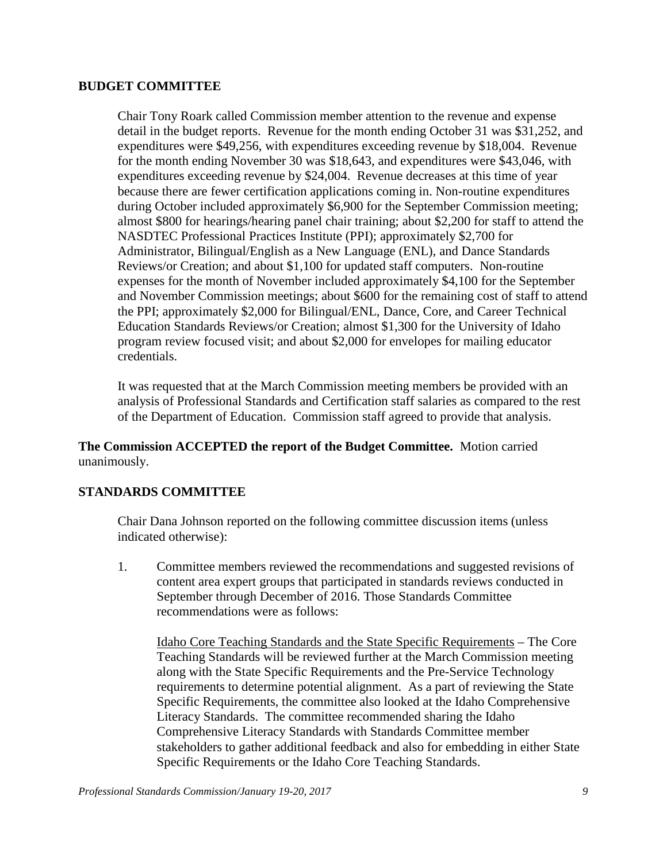### **BUDGET COMMITTEE**

Chair Tony Roark called Commission member attention to the revenue and expense detail in the budget reports. Revenue for the month ending October 31 was \$31,252, and expenditures were \$49,256, with expenditures exceeding revenue by \$18,004. Revenue for the month ending November 30 was \$18,643, and expenditures were \$43,046, with expenditures exceeding revenue by \$24,004. Revenue decreases at this time of year because there are fewer certification applications coming in. Non-routine expenditures during October included approximately \$6,900 for the September Commission meeting; almost \$800 for hearings/hearing panel chair training; about \$2,200 for staff to attend the NASDTEC Professional Practices Institute (PPI); approximately \$2,700 for Administrator, Bilingual/English as a New Language (ENL), and Dance Standards Reviews/or Creation; and about \$1,100 for updated staff computers. Non-routine expenses for the month of November included approximately \$4,100 for the September and November Commission meetings; about \$600 for the remaining cost of staff to attend the PPI; approximately \$2,000 for Bilingual/ENL, Dance, Core, and Career Technical Education Standards Reviews/or Creation; almost \$1,300 for the University of Idaho program review focused visit; and about \$2,000 for envelopes for mailing educator credentials.

It was requested that at the March Commission meeting members be provided with an analysis of Professional Standards and Certification staff salaries as compared to the rest of the Department of Education. Commission staff agreed to provide that analysis.

## **The Commission ACCEPTED the report of the Budget Committee.** Motion carried unanimously.

## **STANDARDS COMMITTEE**

Chair Dana Johnson reported on the following committee discussion items (unless indicated otherwise):

1. Committee members reviewed the recommendations and suggested revisions of content area expert groups that participated in standards reviews conducted in September through December of 2016. Those Standards Committee recommendations were as follows:

Idaho Core Teaching Standards and the State Specific Requirements – The Core Teaching Standards will be reviewed further at the March Commission meeting along with the State Specific Requirements and the Pre-Service Technology requirements to determine potential alignment. As a part of reviewing the State Specific Requirements, the committee also looked at the Idaho Comprehensive Literacy Standards. The committee recommended sharing the Idaho Comprehensive Literacy Standards with Standards Committee member stakeholders to gather additional feedback and also for embedding in either State Specific Requirements or the Idaho Core Teaching Standards.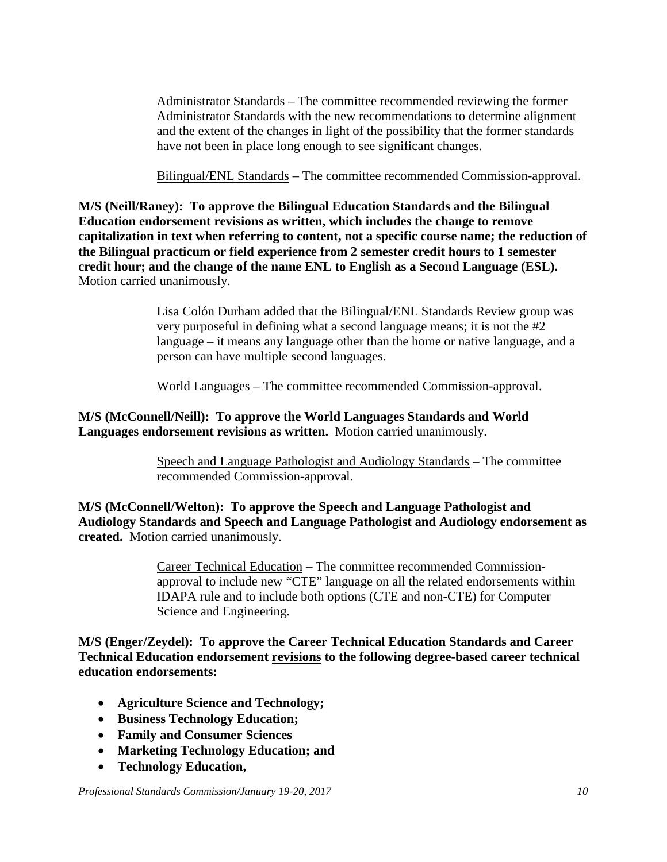Administrator Standards – The committee recommended reviewing the former Administrator Standards with the new recommendations to determine alignment and the extent of the changes in light of the possibility that the former standards have not been in place long enough to see significant changes.

Bilingual/ENL Standards – The committee recommended Commission-approval.

**M/S (Neill/Raney): To approve the Bilingual Education Standards and the Bilingual Education endorsement revisions as written, which includes the change to remove capitalization in text when referring to content, not a specific course name; the reduction of the Bilingual practicum or field experience from 2 semester credit hours to 1 semester credit hour; and the change of the name ENL to English as a Second Language (ESL).**  Motion carried unanimously.

> Lisa Colón Durham added that the Bilingual/ENL Standards Review group was very purposeful in defining what a second language means; it is not the #2 language – it means any language other than the home or native language, and a person can have multiple second languages.

World Languages – The committee recommended Commission-approval.

### **M/S (McConnell/Neill): To approve the World Languages Standards and World Languages endorsement revisions as written.** Motion carried unanimously.

Speech and Language Pathologist and Audiology Standards – The committee recommended Commission-approval.

**M/S (McConnell/Welton): To approve the Speech and Language Pathologist and Audiology Standards and Speech and Language Pathologist and Audiology endorsement as created.** Motion carried unanimously.

> Career Technical Education – The committee recommended Commissionapproval to include new "CTE" language on all the related endorsements within IDAPA rule and to include both options (CTE and non-CTE) for Computer Science and Engineering.

**M/S (Enger/Zeydel): To approve the Career Technical Education Standards and Career Technical Education endorsement revisions to the following degree-based career technical education endorsements:**

- **Agriculture Science and Technology;**
- **Business Technology Education;**
- **Family and Consumer Sciences**
- **Marketing Technology Education; and**
- **Technology Education,**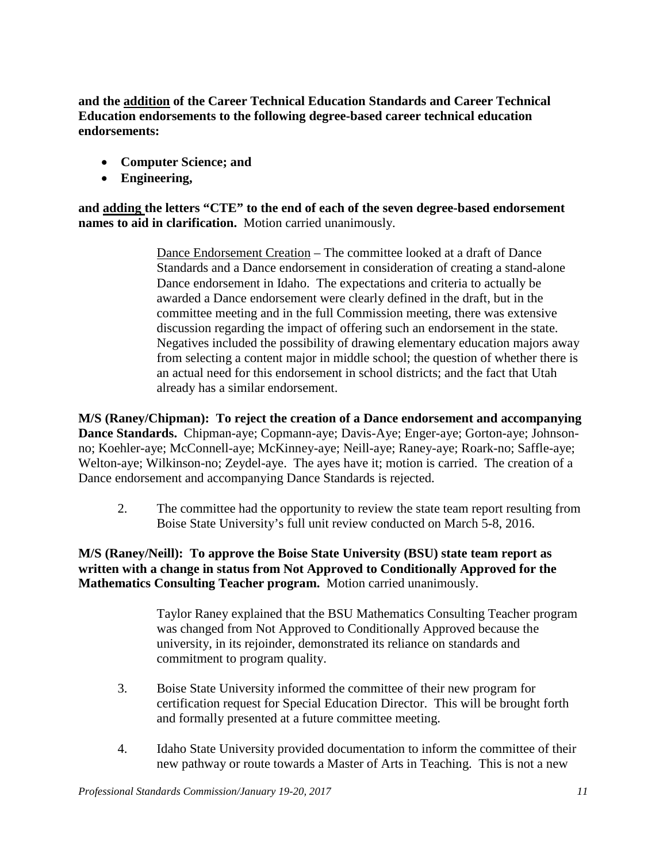**and the addition of the Career Technical Education Standards and Career Technical Education endorsements to the following degree-based career technical education endorsements:**

- **Computer Science; and**
- **Engineering,**

**and adding the letters "CTE" to the end of each of the seven degree-based endorsement names to aid in clarification.** Motion carried unanimously.

> Dance Endorsement Creation – The committee looked at a draft of Dance Standards and a Dance endorsement in consideration of creating a stand-alone Dance endorsement in Idaho. The expectations and criteria to actually be awarded a Dance endorsement were clearly defined in the draft, but in the committee meeting and in the full Commission meeting, there was extensive discussion regarding the impact of offering such an endorsement in the state. Negatives included the possibility of drawing elementary education majors away from selecting a content major in middle school; the question of whether there is an actual need for this endorsement in school districts; and the fact that Utah already has a similar endorsement.

**M/S (Raney/Chipman): To reject the creation of a Dance endorsement and accompanying Dance Standards.** Chipman-aye; Copmann-aye; Davis-Aye; Enger-aye; Gorton-aye; Johnsonno; Koehler-aye; McConnell-aye; McKinney-aye; Neill-aye; Raney-aye; Roark-no; Saffle-aye; Welton-aye; Wilkinson-no; Zeydel-aye. The ayes have it; motion is carried. The creation of a Dance endorsement and accompanying Dance Standards is rejected.

2. The committee had the opportunity to review the state team report resulting from Boise State University's full unit review conducted on March 5-8, 2016.

**M/S (Raney/Neill): To approve the Boise State University (BSU) state team report as written with a change in status from Not Approved to Conditionally Approved for the Mathematics Consulting Teacher program.** Motion carried unanimously.

> Taylor Raney explained that the BSU Mathematics Consulting Teacher program was changed from Not Approved to Conditionally Approved because the university, in its rejoinder, demonstrated its reliance on standards and commitment to program quality.

- 3. Boise State University informed the committee of their new program for certification request for Special Education Director. This will be brought forth and formally presented at a future committee meeting.
- 4. Idaho State University provided documentation to inform the committee of their new pathway or route towards a Master of Arts in Teaching. This is not a new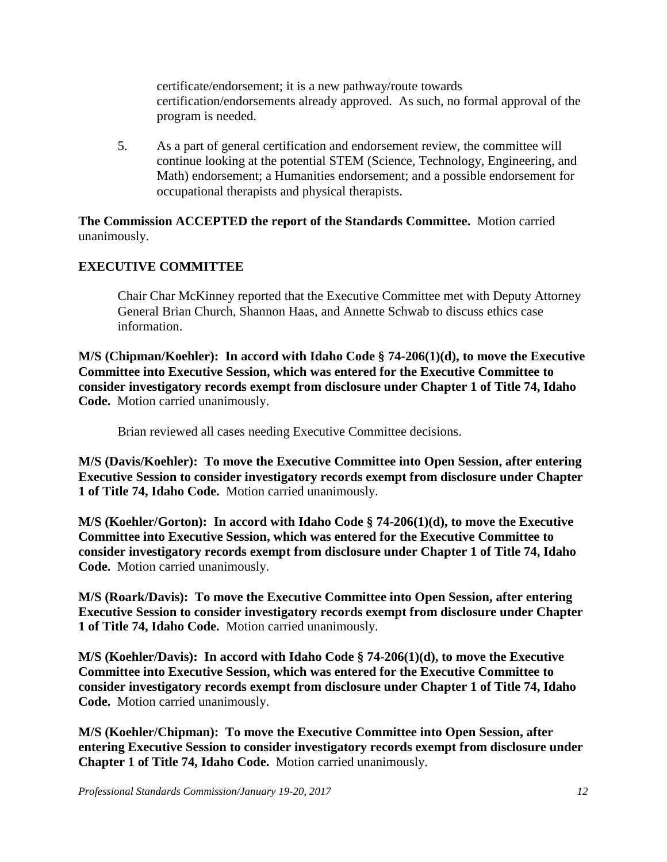certificate/endorsement; it is a new pathway/route towards certification/endorsements already approved. As such, no formal approval of the program is needed.

5. As a part of general certification and endorsement review, the committee will continue looking at the potential STEM (Science, Technology, Engineering, and Math) endorsement; a Humanities endorsement; and a possible endorsement for occupational therapists and physical therapists.

**The Commission ACCEPTED the report of the Standards Committee.** Motion carried unanimously.

### **EXECUTIVE COMMITTEE**

Chair Char McKinney reported that the Executive Committee met with Deputy Attorney General Brian Church, Shannon Haas, and Annette Schwab to discuss ethics case information.

**M/S (Chipman/Koehler): In accord with Idaho Code § 74-206(1)(d), to move the Executive Committee into Executive Session, which was entered for the Executive Committee to consider investigatory records exempt from disclosure under Chapter 1 of Title 74, Idaho Code.** Motion carried unanimously.

Brian reviewed all cases needing Executive Committee decisions.

**M/S (Davis/Koehler): To move the Executive Committee into Open Session, after entering Executive Session to consider investigatory records exempt from disclosure under Chapter 1 of Title 74, Idaho Code.** Motion carried unanimously.

**M/S (Koehler/Gorton): In accord with Idaho Code § 74-206(1)(d), to move the Executive Committee into Executive Session, which was entered for the Executive Committee to consider investigatory records exempt from disclosure under Chapter 1 of Title 74, Idaho Code.** Motion carried unanimously.

**M/S (Roark/Davis): To move the Executive Committee into Open Session, after entering Executive Session to consider investigatory records exempt from disclosure under Chapter 1 of Title 74, Idaho Code.** Motion carried unanimously.

**M/S (Koehler/Davis): In accord with Idaho Code § 74-206(1)(d), to move the Executive Committee into Executive Session, which was entered for the Executive Committee to consider investigatory records exempt from disclosure under Chapter 1 of Title 74, Idaho Code.** Motion carried unanimously.

**M/S (Koehler/Chipman): To move the Executive Committee into Open Session, after entering Executive Session to consider investigatory records exempt from disclosure under Chapter 1 of Title 74, Idaho Code.** Motion carried unanimously.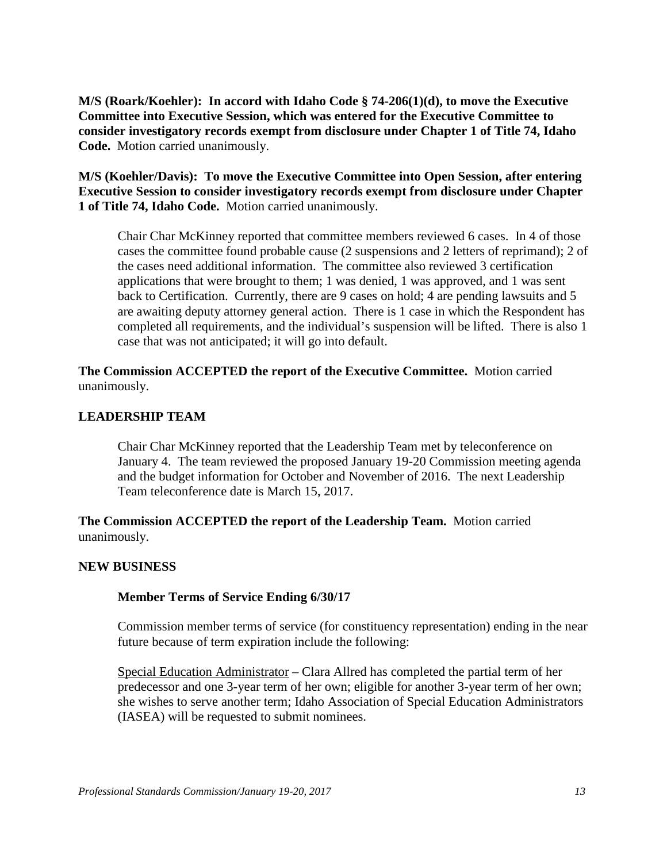**M/S (Roark/Koehler): In accord with Idaho Code § 74-206(1)(d), to move the Executive Committee into Executive Session, which was entered for the Executive Committee to consider investigatory records exempt from disclosure under Chapter 1 of Title 74, Idaho Code.** Motion carried unanimously.

**M/S (Koehler/Davis): To move the Executive Committee into Open Session, after entering Executive Session to consider investigatory records exempt from disclosure under Chapter 1 of Title 74, Idaho Code.** Motion carried unanimously.

Chair Char McKinney reported that committee members reviewed 6 cases. In 4 of those cases the committee found probable cause (2 suspensions and 2 letters of reprimand); 2 of the cases need additional information. The committee also reviewed 3 certification applications that were brought to them; 1 was denied, 1 was approved, and 1 was sent back to Certification. Currently, there are 9 cases on hold; 4 are pending lawsuits and 5 are awaiting deputy attorney general action. There is 1 case in which the Respondent has completed all requirements, and the individual's suspension will be lifted. There is also 1 case that was not anticipated; it will go into default.

**The Commission ACCEPTED the report of the Executive Committee.** Motion carried unanimously.

### **LEADERSHIP TEAM**

Chair Char McKinney reported that the Leadership Team met by teleconference on January 4. The team reviewed the proposed January 19-20 Commission meeting agenda and the budget information for October and November of 2016. The next Leadership Team teleconference date is March 15, 2017.

**The Commission ACCEPTED the report of the Leadership Team.** Motion carried unanimously.

#### **NEW BUSINESS**

#### **Member Terms of Service Ending 6/30/17**

Commission member terms of service (for constituency representation) ending in the near future because of term expiration include the following:

Special Education Administrator – Clara Allred has completed the partial term of her predecessor and one 3-year term of her own; eligible for another 3-year term of her own; she wishes to serve another term; Idaho Association of Special Education Administrators (IASEA) will be requested to submit nominees.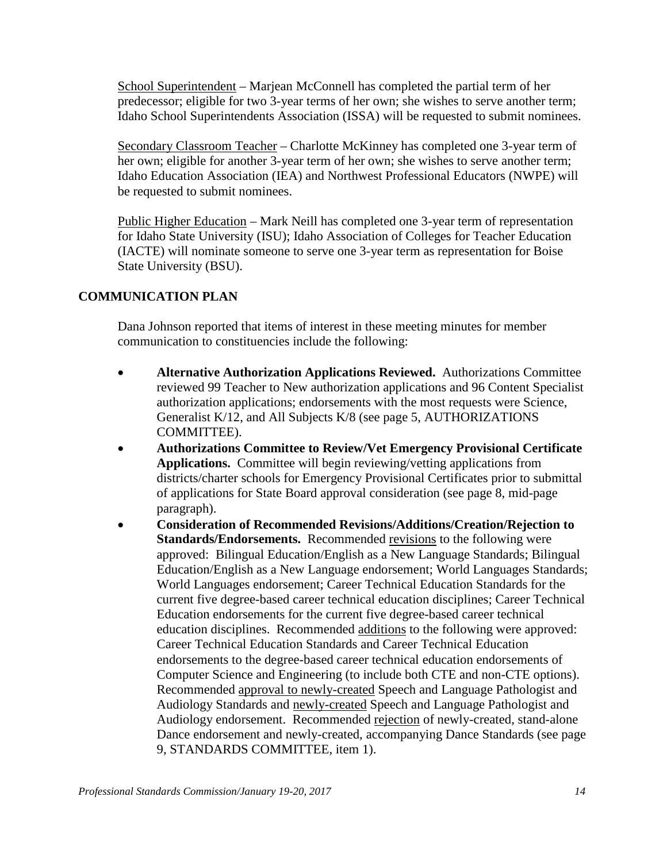School Superintendent – Marjean McConnell has completed the partial term of her predecessor; eligible for two 3-year terms of her own; she wishes to serve another term; Idaho School Superintendents Association (ISSA) will be requested to submit nominees.

Secondary Classroom Teacher – Charlotte McKinney has completed one 3-year term of her own; eligible for another 3-year term of her own; she wishes to serve another term; Idaho Education Association (IEA) and Northwest Professional Educators (NWPE) will be requested to submit nominees.

Public Higher Education – Mark Neill has completed one 3-year term of representation for Idaho State University (ISU); Idaho Association of Colleges for Teacher Education (IACTE) will nominate someone to serve one 3-year term as representation for Boise State University (BSU).

# **COMMUNICATION PLAN**

Dana Johnson reported that items of interest in these meeting minutes for member communication to constituencies include the following:

- **Alternative Authorization Applications Reviewed.** Authorizations Committee reviewed 99 Teacher to New authorization applications and 96 Content Specialist authorization applications; endorsements with the most requests were Science, Generalist K/12, and All Subjects K/8 (see page 5, AUTHORIZATIONS COMMITTEE).
- **Authorizations Committee to Review/Vet Emergency Provisional Certificate Applications.** Committee will begin reviewing/vetting applications from districts/charter schools for Emergency Provisional Certificates prior to submittal of applications for State Board approval consideration (see page 8, mid-page paragraph).
- **Consideration of Recommended Revisions/Additions/Creation/Rejection to Standards/Endorsements.** Recommended revisions to the following were approved: Bilingual Education/English as a New Language Standards; Bilingual Education/English as a New Language endorsement; World Languages Standards; World Languages endorsement; Career Technical Education Standards for the current five degree-based career technical education disciplines; Career Technical Education endorsements for the current five degree-based career technical education disciplines. Recommended additions to the following were approved: Career Technical Education Standards and Career Technical Education endorsements to the degree-based career technical education endorsements of Computer Science and Engineering (to include both CTE and non-CTE options). Recommended approval to newly-created Speech and Language Pathologist and Audiology Standards and newly-created Speech and Language Pathologist and Audiology endorsement. Recommended rejection of newly-created, stand-alone Dance endorsement and newly-created, accompanying Dance Standards (see page 9, STANDARDS COMMITTEE, item 1).